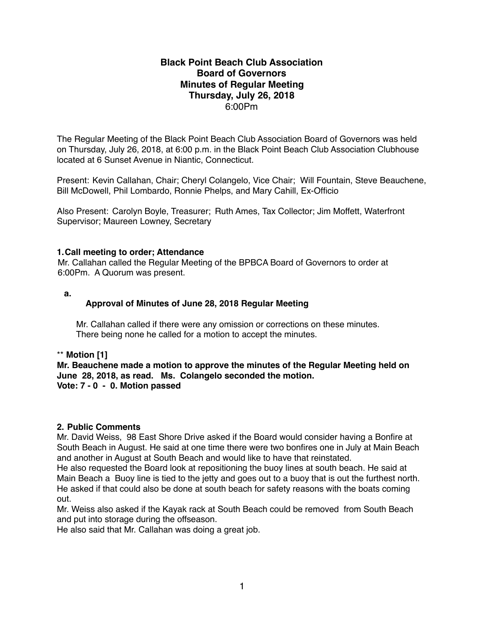# **Black Point Beach Club Association Board of Governors Minutes of Regular Meeting Thursday, July 26, 2018** 6:00Pm

The Regular Meeting of the Black Point Beach Club Association Board of Governors was held on Thursday, July 26, 2018, at 6:00 p.m. in the Black Point Beach Club Association Clubhouse located at 6 Sunset Avenue in Niantic, Connecticut.

Present: Kevin Callahan, Chair; Cheryl Colangelo, Vice Chair; Will Fountain, Steve Beauchene, Bill McDowell, Phil Lombardo, Ronnie Phelps, and Mary Cahill, Ex-Officio

Also Present: Carolyn Boyle, Treasurer; Ruth Ames, Tax Collector; Jim Moffett, Waterfront Supervisor; Maureen Lowney, Secretary

## **1.Call meeting to order; Attendance**

Mr. Callahan called the Regular Meeting of the BPBCA Board of Governors to order at 6:00Pm. A Quorum was present.

**a.** 

## **Approval of Minutes of June 28, 2018 Regular Meeting**

 Mr. Callahan called if there were any omission or corrections on these minutes. There being none he called for a motion to accept the minutes.

\*\* **Motion [1]**

**Mr. Beauchene made a motion to approve the minutes of the Regular Meeting held on June 28, 2018, as read. Ms. Colangelo seconded the motion. Vote: 7 - 0 - 0. Motion passed**

#### **2. Public Comments**

Mr. David Weiss, 98 East Shore Drive asked if the Board would consider having a Bonfire at South Beach in August. He said at one time there were two bonfires one in July at Main Beach and another in August at South Beach and would like to have that reinstated.

He also requested the Board look at repositioning the buoy lines at south beach. He said at Main Beach a Buoy line is tied to the jetty and goes out to a buoy that is out the furthest north. He asked if that could also be done at south beach for safety reasons with the boats coming out.

Mr. Weiss also asked if the Kayak rack at South Beach could be removed from South Beach and put into storage during the offseason.

He also said that Mr. Callahan was doing a great job.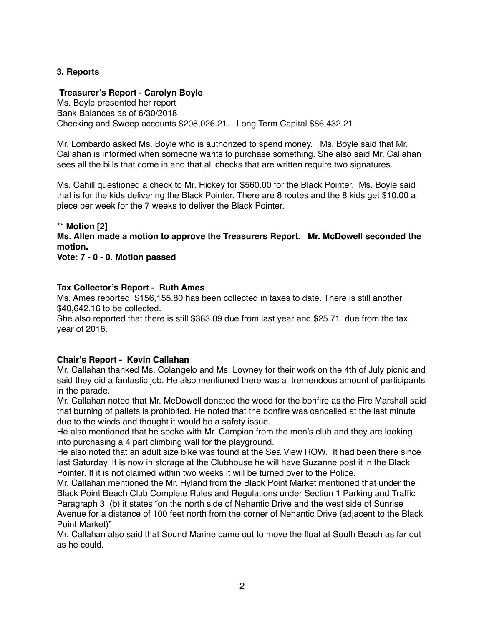# **3. Reports**

## **Treasurer's Report - Carolyn Boyle**

Ms. Boyle presented her report Bank Balances as of 6/30/2018 Checking and Sweep accounts \$208,026.21. Long Term Capital \$86,432.21

Mr. Lombardo asked Ms. Boyle who is authorized to spend money. Ms. Boyle said that Mr. Callahan is informed when someone wants to purchase something. She also said Mr. Callahan sees all the bills that come in and that all checks that are written require two signatures.

Ms. Cahill questioned a check to Mr. Hickey for \$560.00 for the Black Pointer. Ms. Boyle said that is for the kids delivering the Black Pointer. There are 8 routes and the 8 kids get \$10.00 a piece per week for the 7 weeks to deliver the Black Pointer.

#### \*\* **Motion [2]**

**Ms. Allen made a motion to approve the Treasurers Report. Mr. McDowell seconded the motion.**

**Vote: 7 - 0 - 0. Motion passed**

#### **Tax Collector's Report - Ruth Ames**

Ms. Ames reported \$156,155.80 has been collected in taxes to date. There is still another \$40,642.16 to be collected.

She also reported that there is still \$383.09 due from last year and \$25.71 due from the tax year of 2016.

## **Chair's Report - Kevin Callahan**

Mr. Callahan thanked Ms. Colangelo and Ms. Lowney for their work on the 4th of July picnic and said they did a fantastic job. He also mentioned there was a tremendous amount of participants in the parade.

Mr. Callahan noted that Mr. McDowell donated the wood for the bonfire as the Fire Marshall said that burning of pallets is prohibited. He noted that the bonfire was cancelled at the last minute due to the winds and thought it would be a safety issue.

He also mentioned that he spoke with Mr. Campion from the men's club and they are looking into purchasing a 4 part climbing wall for the playground.

He also noted that an adult size bike was found at the Sea View ROW. It had been there since last Saturday. It is now in storage at the Clubhouse he will have Suzanne post it in the Black Pointer. If it is not claimed within two weeks it will be turned over to the Police.

Mr. Callahan mentioned the Mr. Hyland from the Black Point Market mentioned that under the Black Point Beach Club Complete Rules and Regulations under Section 1 Parking and Traffic Paragraph 3 (b) it states "on the north side of Nehantic Drive and the west side of Sunrise Avenue for a distance of 100 feet north from the corner of Nehantic Drive (adjacent to the Black Point Market)"

Mr. Callahan also said that Sound Marine came out to move the float at South Beach as far out as he could.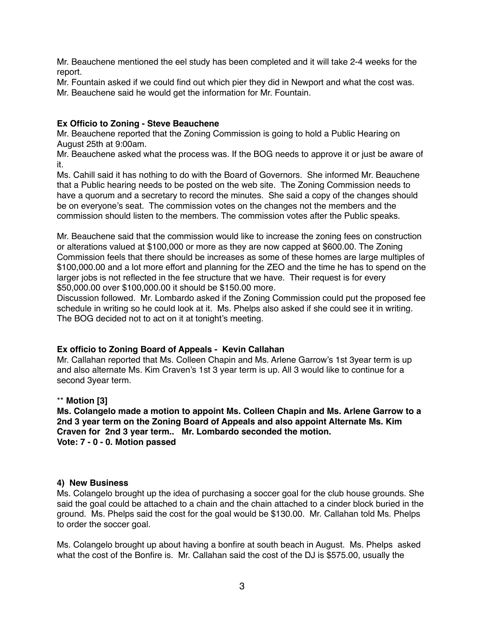Mr. Beauchene mentioned the eel study has been completed and it will take 2-4 weeks for the report.

Mr. Fountain asked if we could find out which pier they did in Newport and what the cost was. Mr. Beauchene said he would get the information for Mr. Fountain.

# **Ex Officio to Zoning - Steve Beauchene**

Mr. Beauchene reported that the Zoning Commission is going to hold a Public Hearing on August 25th at 9:00am.

Mr. Beauchene asked what the process was. If the BOG needs to approve it or just be aware of it.

Ms. Cahill said it has nothing to do with the Board of Governors. She informed Mr. Beauchene that a Public hearing needs to be posted on the web site. The Zoning Commission needs to have a quorum and a secretary to record the minutes. She said a copy of the changes should be on everyone's seat. The commission votes on the changes not the members and the commission should listen to the members. The commission votes after the Public speaks.

Mr. Beauchene said that the commission would like to increase the zoning fees on construction or alterations valued at \$100,000 or more as they are now capped at \$600.00. The Zoning Commission feels that there should be increases as some of these homes are large multiples of \$100,000.00 and a lot more effort and planning for the ZEO and the time he has to spend on the larger jobs is not reflected in the fee structure that we have. Their request is for every \$50,000.00 over \$100,000.00 it should be \$150.00 more.

Discussion followed. Mr. Lombardo asked if the Zoning Commission could put the proposed fee schedule in writing so he could look at it. Ms. Phelps also asked if she could see it in writing. The BOG decided not to act on it at tonight's meeting.

## **Ex officio to Zoning Board of Appeals - Kevin Callahan**

Mr. Callahan reported that Ms. Colleen Chapin and Ms. Arlene Garrow's 1st 3year term is up and also alternate Ms. Kim Craven's 1st 3 year term is up. All 3 would like to continue for a second 3year term.

## \*\* **Motion [3]**

**Ms. Colangelo made a motion to appoint Ms. Colleen Chapin and Ms. Arlene Garrow to a 2nd 3 year term on the Zoning Board of Appeals and also appoint Alternate Ms. Kim Craven for 2nd 3 year term.. Mr. Lombardo seconded the motion. Vote: 7 - 0 - 0. Motion passed**

#### **4) New Business**

Ms. Colangelo brought up the idea of purchasing a soccer goal for the club house grounds. She said the goal could be attached to a chain and the chain attached to a cinder block buried in the ground. Ms. Phelps said the cost for the goal would be \$130.00. Mr. Callahan told Ms. Phelps to order the soccer goal.

Ms. Colangelo brought up about having a bonfire at south beach in August. Ms. Phelps asked what the cost of the Bonfire is. Mr. Callahan said the cost of the DJ is \$575.00, usually the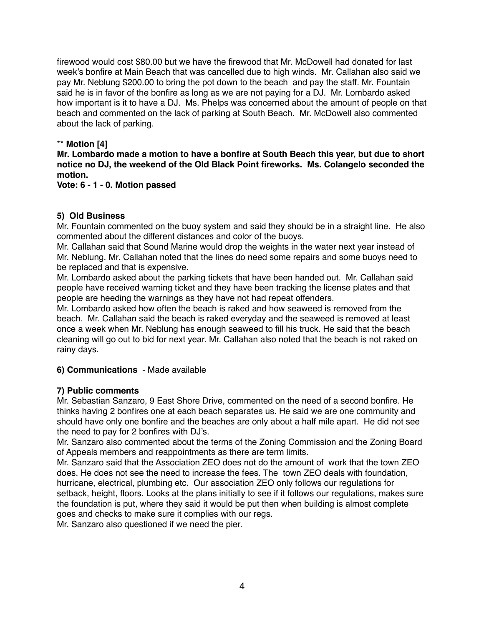firewood would cost \$80.00 but we have the firewood that Mr. McDowell had donated for last week's bonfire at Main Beach that was cancelled due to high winds. Mr. Callahan also said we pay Mr. Neblung \$200.00 to bring the pot down to the beach and pay the staff. Mr. Fountain said he is in favor of the bonfire as long as we are not paying for a DJ. Mr. Lombardo asked how important is it to have a DJ. Ms. Phelps was concerned about the amount of people on that beach and commented on the lack of parking at South Beach. Mr. McDowell also commented about the lack of parking.

# \*\* **Motion [4]**

**Mr. Lombardo made a motion to have a bonfire at South Beach this year, but due to short notice no DJ, the weekend of the Old Black Point fireworks. Ms. Colangelo seconded the motion.**

**Vote: 6 - 1 - 0. Motion passed**

# **5) Old Business**

Mr. Fountain commented on the buoy system and said they should be in a straight line. He also commented about the different distances and color of the buoys.

Mr. Callahan said that Sound Marine would drop the weights in the water next year instead of Mr. Neblung. Mr. Callahan noted that the lines do need some repairs and some buoys need to be replaced and that is expensive.

Mr. Lombardo asked about the parking tickets that have been handed out. Mr. Callahan said people have received warning ticket and they have been tracking the license plates and that people are heeding the warnings as they have not had repeat offenders.

Mr. Lombardo asked how often the beach is raked and how seaweed is removed from the beach. Mr. Callahan said the beach is raked everyday and the seaweed is removed at least once a week when Mr. Neblung has enough seaweed to fill his truck. He said that the beach cleaning will go out to bid for next year. Mr. Callahan also noted that the beach is not raked on rainy days.

**6) Communications** - Made available

# **7) Public comments**

Mr. Sebastian Sanzaro, 9 East Shore Drive, commented on the need of a second bonfire. He thinks having 2 bonfires one at each beach separates us. He said we are one community and should have only one bonfire and the beaches are only about a half mile apart. He did not see the need to pay for 2 bonfires with DJ's.

Mr. Sanzaro also commented about the terms of the Zoning Commission and the Zoning Board of Appeals members and reappointments as there are term limits.

Mr. Sanzaro said that the Association ZEO does not do the amount of work that the town ZEO does. He does not see the need to increase the fees. The town ZEO deals with foundation, hurricane, electrical, plumbing etc. Our association ZEO only follows our regulations for setback, height, floors. Looks at the plans initially to see if it follows our regulations, makes sure the foundation is put, where they said it would be put then when building is almost complete goes and checks to make sure it complies with our regs.

Mr. Sanzaro also questioned if we need the pier.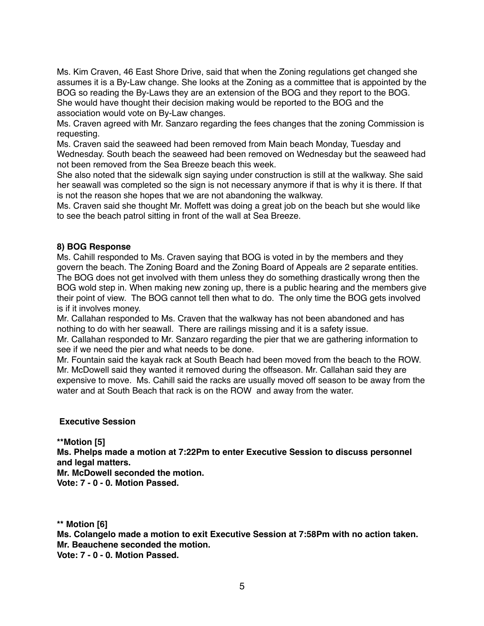Ms. Kim Craven, 46 East Shore Drive, said that when the Zoning regulations get changed she assumes it is a By-Law change. She looks at the Zoning as a committee that is appointed by the BOG so reading the By-Laws they are an extension of the BOG and they report to the BOG. She would have thought their decision making would be reported to the BOG and the association would vote on By-Law changes.

Ms. Craven agreed with Mr. Sanzaro regarding the fees changes that the zoning Commission is requesting.

Ms. Craven said the seaweed had been removed from Main beach Monday, Tuesday and Wednesday. South beach the seaweed had been removed on Wednesday but the seaweed had not been removed from the Sea Breeze beach this week.

She also noted that the sidewalk sign saying under construction is still at the walkway. She said her seawall was completed so the sign is not necessary anymore if that is why it is there. If that is not the reason she hopes that we are not abandoning the walkway.

Ms. Craven said she thought Mr. Moffett was doing a great job on the beach but she would like to see the beach patrol sitting in front of the wall at Sea Breeze.

#### **8) BOG Response**

Ms. Cahill responded to Ms. Craven saying that BOG is voted in by the members and they govern the beach. The Zoning Board and the Zoning Board of Appeals are 2 separate entities. The BOG does not get involved with them unless they do something drastically wrong then the BOG wold step in. When making new zoning up, there is a public hearing and the members give their point of view. The BOG cannot tell then what to do. The only time the BOG gets involved is if it involves money.

Mr. Callahan responded to Ms. Craven that the walkway has not been abandoned and has nothing to do with her seawall. There are railings missing and it is a safety issue.

Mr. Callahan responded to Mr. Sanzaro regarding the pier that we are gathering information to see if we need the pier and what needs to be done.

Mr. Fountain said the kayak rack at South Beach had been moved from the beach to the ROW. Mr. McDowell said they wanted it removed during the offseason. Mr. Callahan said they are expensive to move. Ms. Cahill said the racks are usually moved off season to be away from the water and at South Beach that rack is on the ROW and away from the water.

#### **Executive Session**

**\*\*Motion [5] Ms. Phelps made a motion at 7:22Pm to enter Executive Session to discuss personnel and legal matters.**

**Mr. McDowell seconded the motion. Vote: 7 - 0 - 0. Motion Passed.**

**\*\* Motion [6]**

**Ms. Colangelo made a motion to exit Executive Session at 7:58Pm with no action taken. Mr. Beauchene seconded the motion. Vote: 7 - 0 - 0. Motion Passed.**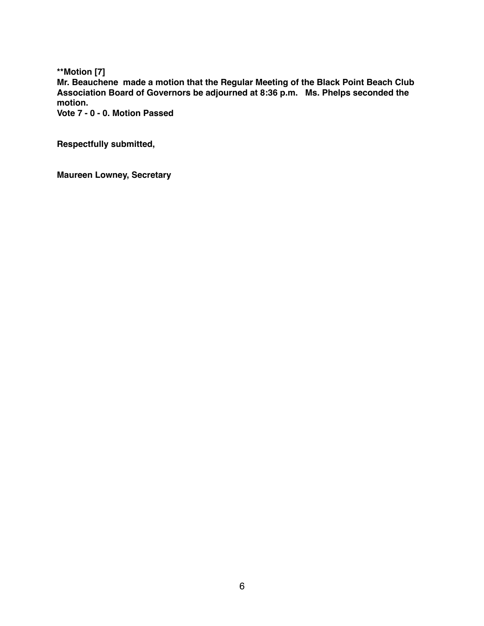**\*\*Motion [7] Mr. Beauchene made a motion that the Regular Meeting of the Black Point Beach Club Association Board of Governors be adjourned at 8:36 p.m. Ms. Phelps seconded the motion. Vote 7 - 0 - 0. Motion Passed**

**Respectfully submitted,**

**Maureen Lowney, Secretary**